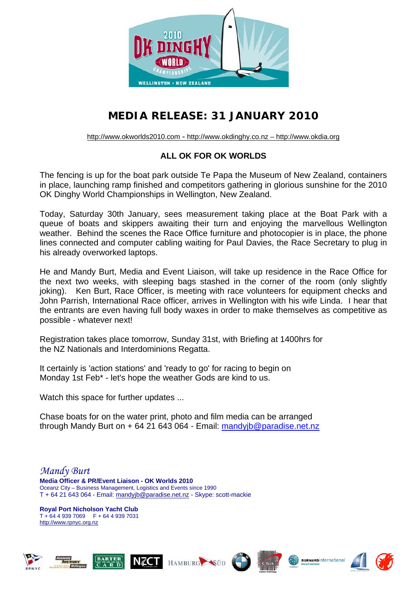

## **MEDIA RELEASE: 31 JANUARY 2010**

[http://www.okworlds2010.com](http://www.okworlds2010.com/) - [http://www.okdinghy.co.nz](http://www.okdinghy.co.nz/) – http://www.okdia.org

## **ALL OK FOR OK WORLDS**

The fencing is up for the boat park outside Te Papa the Museum of New Zealand, containers in place, launching ramp finished and competitors gathering in glorious sunshine for the 2010 OK Dinghy World Championships in Wellington, New Zealand.

Today, Saturday 30th January, sees measurement taking place at the Boat Park with a queue of boats and skippers awaiting their turn and enjoying the marvellous Wellington weather. Behind the scenes the Race Office furniture and photocopier is in place, the phone lines connected and computer cabling waiting for Paul Davies, the Race Secretary to plug in his already overworked laptops.

He and Mandy Burt, Media and Event Liaison, will take up residence in the Race Office for the next two weeks, with sleeping bags stashed in the corner of the room (only slightly joking). Ken Burt, Race Officer, is meeting with race volunteers for equipment checks and John Parrish, International Race officer, arrives in Wellington with his wife Linda. I hear that the entrants are even having full body waxes in order to make themselves as competitive as possible - whatever next!

Registration takes place tomorrow, Sunday 31st, with Briefing at 1400hrs for the NZ Nationals and Interdominions Regatta.

It certainly is 'action stations' and 'ready to go' for racing to begin on Monday 1st Feb\* - let's hope the weather Gods are kind to us.

Watch this space for further updates ...

Chase boats for on the water print, photo and film media can be arranged through Mandy Burt on + 64 21 643 064 - Email: [mandyjb@paradise.net.nz](mailto:mandyjb@paradise.net.nz)

*Mandy Burt*  **Media Officer & PR/Event Liaison - OK Worlds 2010**  Oceanz City – Business Management, Logistics and Events since 1990 T + 64 21 643 064 - Email: [mandyjb@paradise.net.nz](mailto:mandyjb@paradise.net.nz) - Skype: scott-mackie

**Royal Port Nicholson Yacht Club**  T + 64 4 939 7069 F + 64 4 939 7031 http://[www.rpnyc.org.nz](http://www.rpnyc.org.nz/)